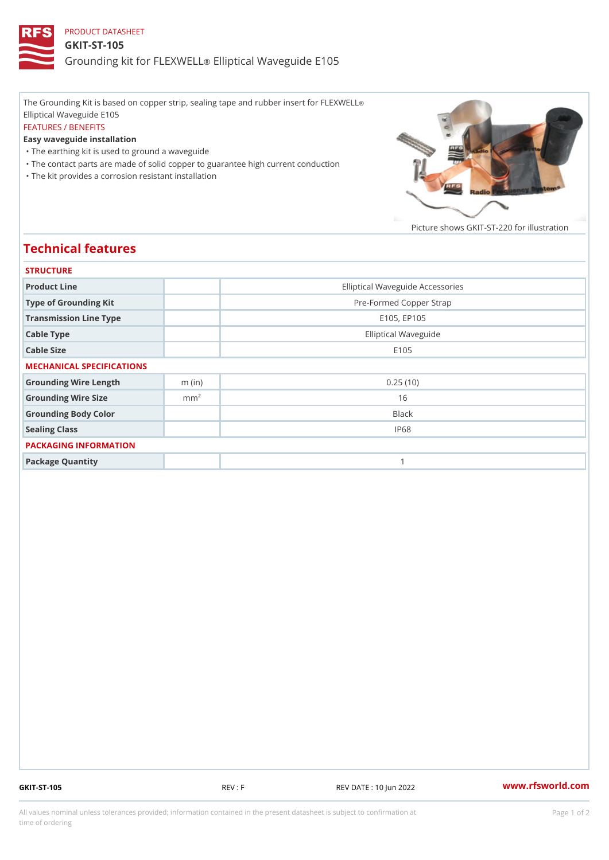## PRODUCT DATASHEET GKIT-ST-105 Grounding kit for **ELEIXIVE tal** Waveguide E105

The Grounding Kit is based on copper strip, sealing tape and rubber insert for FLEXWELL ® Elliptical Waveguide E105 FEATURES / BENEFITS Easy waveguide installation "The earthing kit is used to ground a waveguide "The contact parts are made of solid copper to guarantee high current conduction

"The kit provides a corrosion resistant installation

Picture shows  $GKIT-ST-220$  for ill

## Technical features

| <b>STRUCTURE</b>          |                  |                                  |
|---------------------------|------------------|----------------------------------|
| Product Line              |                  | Elliptical Waveguide Accessories |
| Type of Grounding Kit     |                  | Pre-Formed Copper Strap          |
| Transmission Line Type    |                  | E105, EP105                      |
| Cable Type                |                  | Elliptical Waveguide             |
| Cable Size                |                  | E 1 0 5                          |
| MECHANICAL SPECIFICATIONS |                  |                                  |
| Grounding Wire Length     | $m$ (in)         | 0.25(10)                         |
| Grounding Wire Size       | m m <sup>2</sup> | 16                               |
| Grounding Body Color      |                  | <b>Black</b>                     |
| Sealing Class             |                  | IP68                             |
| PACKAGING INFORMATION     |                  |                                  |
| Package Quantity          |                  | 1                                |

GKIT-ST-105 REV : F REV DATE : 10 Jun 2022 [www.](https://www.rfsworld.com)rfsworld.com